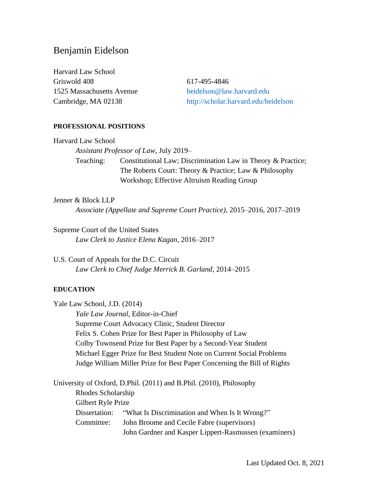# Benjamin Eidelson

Harvard Law School Griswold 408 617-495-4846 1525 Massachusetts Avenue [beidelson@law.harvard.edu](mailto:beidelson@law.harvard.edu)

Cambridge, MA 02138 <http://scholar.harvard.edu/beidelson>

#### **PROFESSIONAL POSITIONS**

Harvard Law School *Assistant Professor of Law*, July 2019– Teaching: Constitutional Law; Discrimination Law in Theory & Practice; The Roberts Court: Theory & Practice; Law & Philosophy Workshop; Effective Altruism Reading Group

#### Jenner & Block LLP

*Associate (Appellate and Supreme Court Practice)*, 2015–2016, 2017–2019

Supreme Court of the United States *Law Clerk to Justice Elena Kagan*, 2016–2017

U.S. Court of Appeals for the D.C. Circuit *Law Clerk to Chief Judge Merrick B. Garland*, 2014–2015

#### **EDUCATION**

Yale Law School, J.D. (2014) *Yale Law Journal*, Editor-in-Chief Supreme Court Advocacy Clinic, Student Director Felix S. Cohen Prize for Best Paper in Philosophy of Law Colby Townsend Prize for Best Paper by a Second-Year Student Michael Egger Prize for Best Student Note on Current Social Problems Judge William Miller Prize for Best Paper Concerning the Bill of Rights University of Oxford, D.Phil. (2011) and B.Phil. (2010), Philosophy Rhodes Scholarship Gilbert Ryle Prize Dissertation: "What Is Discrimination and When Is It Wrong?" Committee: John Broome and Cecile Fabre (supervisors) John Gardner and Kasper Lippert-Rasmussen (examiners)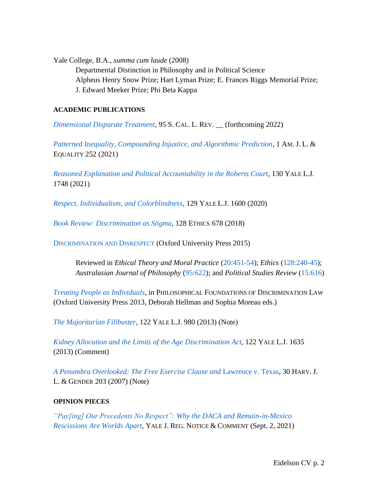Yale College, B.A., *summa cum laude* (2008)

Departmental Distinction in Philosophy and in Political Science Alpheus Henry Snow Prize; Hart Lyman Prize; E. Frances Riggs Memorial Prize; J. Edward Meeker Prize; Phi Beta Kappa

## **ACADEMIC PUBLICATIONS**

*[Dimensional Disparate Treatment](https://papers.ssrn.com/sol3/papers.cfm?abstract_id=3915787)*, 95 S. CAL. L. REV. \_\_ (forthcoming 2022)

*[Patterned Inequality, Compounding Injustice, and Algorithmic Prediction](https://papers.ssrn.com/sol3/papers.cfm?abstract_id=3790797)*, 1 AM. J. L. & EQUALITY 252 (2021)

*[Reasoned Explanation and Political Accountability in the Roberts Court](https://papers.ssrn.com/sol3/papers.cfm?abstract_id=3790791)*, 130 YALE L.J. 1748 (2021)

*[Respect, Individualism, and Colorblindness](https://www.yalelawjournal.org/pdf/EidelsonArticle_q57kq826.pdf)*, 129 YALE L.J. 1600 (2020)

*[Book Review: Discrimination as Stigma](https://www.journals.uchicago.edu/doi/abs/10.1086/695999?journalCode=et)*, 128 ETHICS 678 (2018)

D[ISCRIMINATION AND](https://global.oup.com/academic/product/discrimination-and-disrespect-9780198732877?cc=us&lang=en&) DISRESPECT (Oxford University Press 2015)

Reviewed in *Ethical Theory and Moral Practice* [\(20:451-54\)](https://link.springer.com/article/10.1007%2Fs10677-016-9772-z); *Ethics* [\(128:240-45\)](https://www.journals.uchicago.edu/doi/abs/10.1086/692953?journalCode=et); *Australasian Journal of Philosophy* [\(95:622\)](https://www.tandfonline.com/doi/abs/10.1080/00048402.2016.1230638); and *Political Studies Review* [\(15:616\)](http://journals.sagepub.com/doi/full/10.1177/1478929917712147)

*[Treating People as Individuals](https://cpb-us-e1.wpmucdn.com/blogs.cornell.edu/dist/5/5699/files/2017/07/Eidelson-Treating-People-as-Individuals-2cuxx77.pdf)*, in PHILOSOPHICAL FOUNDATIONS OF DISCRIMINATION LAW (Oxford University Press 2013, Deborah Hellman and Sophia Moreau eds.)

*[The Majoritarian Filibuster](https://papers.ssrn.com/sol3/papers.cfm?abstract_id=2202791)*, 122 YALE L.J. 980 (2013) (Note)

*[Kidney Allocation and the Limits of the Age](https://papers.ssrn.com/sol3/papers.cfm?abstract_id=2229583) Discrimination Act*, 122 YALE L.J. 1635 (2013) (Comment)

*[A Penumbra Overlooked: The Free Exercise Clause and](https://papers.ssrn.com/sol3/papers.cfm?abstract_id=949894)* Lawrence v. Texas, 30 HARV. J. L. & GENDER 203 (2007) (Note)

## **OPINION PIECES**

*["Pay\[ing\] Our Precedents No Respect": Why](https://www.yalejreg.com/nc/paying-our-precedents-no-respect-why-the-daca-and-remain-in-mexico-rescissions-are-worlds-apart-by-benjamin-eidelson/) the DACA and Remain-in-Mexico [Rescissions Are Worlds Apart](https://www.yalejreg.com/nc/paying-our-precedents-no-respect-why-the-daca-and-remain-in-mexico-rescissions-are-worlds-apart-by-benjamin-eidelson/)*, YALE J. REG. NOTICE & COMMENT (Sept. 2, 2021)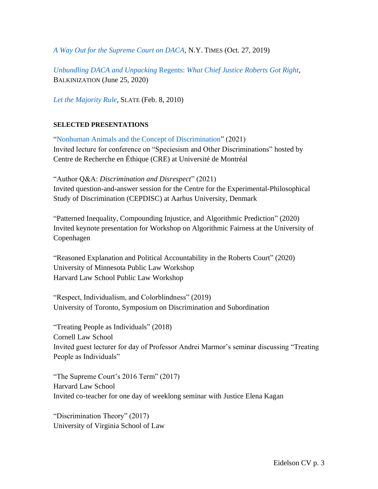*[A Way Out for the Supreme Court on DACA,](https://www.nytimes.com/2019/10/27/opinion/daca-supreme-court.html)* N.Y. TIMES (Oct. 27, 2019)

*Unbundling DACA and Unpacking* Regents: *[What Chief Justice Roberts Got Right](https://balkin.blogspot.com/2020/06/unbundling-daca-and-unpacking-regents.html)*, BALKINIZATION (June 25, 2020)

*[Let the Majority Rule](https://slate.com/news-and-politics/2010/02/why-the-filibuster-is-ok-for-democrats-but-not-for-republicans.html)*, SLATE (Feb. 8, 2010)

#### **SELECTED PRESENTATIONS**

["Nonhuman Animals and the Concept of Discrimination"](https://www.youtube.com/watch?v=r-exZqXN1I8&list=PLEMySUMc-oCxM4abuq5HnjhadeCVGNYiE&index=5) (2021) Invited lecture for conference on "Speciesism and Other Discriminations" hosted by Centre de Recherche en Éthique (CRE) at Université de Montréal

"Author Q&A: *Discrimination and Disrespect*" (2021) Invited question-and-answer session for the Centre for the Experimental-Philosophical Study of Discrimination (CEPDISC) at Aarhus University, Denmark

"Patterned Inequality, Compounding Injustice, and Algorithmic Prediction" (2020) Invited keynote presentation for Workshop on Algorithmic Fairness at the University of Copenhagen

"Reasoned Explanation and Political Accountability in the Roberts Court" (2020) University of Minnesota Public Law Workshop Harvard Law School Public Law Workshop

"Respect, Individualism, and Colorblindness" (2019) University of Toronto, Symposium on Discrimination and Subordination

"Treating People as Individuals" (2018) Cornell Law School Invited guest lecturer for day of Professor Andrei Marmor's seminar discussing "Treating People as Individuals"

"The Supreme Court's 2016 Term" (2017) Harvard Law School Invited co-teacher for one day of weeklong seminar with Justice Elena Kagan

"Discrimination Theory" (2017) University of Virginia School of Law